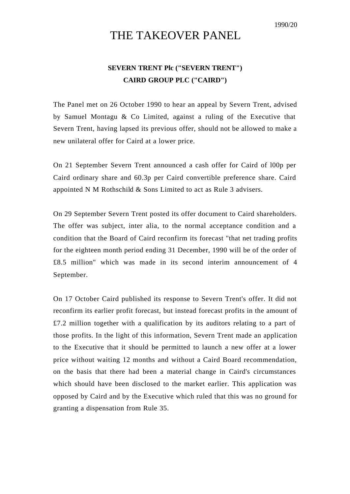## THE TAKEOVER PANEL

## **SEVERN TRENT Plc ("SEVERN TRENT") CAIRD GROUP PLC ("CAIRD")**

The Panel met on 26 October 1990 to hear an appeal by Severn Trent, advised by Samuel Montagu & Co Limited, against a ruling of the Executive that Severn Trent, having lapsed its previous offer, should not be allowed to make a new unilateral offer for Caird at a lower price.

On 21 September Severn Trent announced a cash offer for Caird of l00p per Caird ordinary share and 60.3p per Caird convertible preference share. Caird appointed N M Rothschild & Sons Limited to act as Rule 3 advisers.

On 29 September Severn Trent posted its offer document to Caird shareholders. The offer was subject, inter alia, to the normal acceptance condition and a condition that the Board of Caird reconfirm its forecast "that net trading profits for the eighteen month period ending 31 December, 1990 will be of the order of £8.5 million" which was made in its second interim announcement of 4 September.

On 17 October Caird published its response to Severn Trent's offer. It did not reconfirm its earlier profit forecast, but instead forecast profits in the amount of £7.2 million together with a qualification by its auditors relating to a part of those profits. In the light of this information, Severn Trent made an application to the Executive that it should be permitted to launch a new offer at a lower price without waiting 12 months and without a Caird Board recommendation, on the basis that there had been a material change in Caird's circumstances which should have been disclosed to the market earlier. This application was opposed by Caird and by the Executive which ruled that this was no ground for granting a dispensation from Rule 35.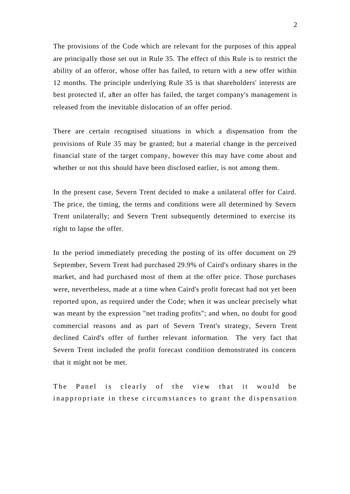The provisions of the Code which are relevant for the purposes of this appeal are principally those set out in Rule 35. The effect of this Rule is to restrict the ability of an offeror, whose offer has failed, to return with a new offer within 12 months. The principle underlying Rule 35 is that shareholders' interests are best protected if, after an offer has failed, the target company's management is released from the inevitable dislocation of an offer period.

There are certain recognised situations in which a dispensation from the provisions of Rule 35 may be granted; but a material change in the perceived financial state of the target company, however this may have come about and whether or not this should have been disclosed earlier, is not among them.

In the present case, Severn Trent decided to make a unilateral offer for Caird. The price, the timing, the terms and conditions were all determined by Severn Trent unilaterally; and Severn Trent subsequently determined to exercise its right to lapse the offer.

In the period immediately preceding the posting of its offer document on 29 September, Severn Trent had purchased 29.9% of Caird's ordinary shares in the market, and had purchased most of them at the offer price. Those purchases were, nevertheless, made at a time when Caird's profit forecast had not yet been reported upon, as required under the Code; when it was unclear precisely what was meant by the expression "net trading profits"; and when, no doubt for good commercial reasons and as part of Severn Trent's strategy, Severn Trent declined Caird's offer of further relevant information. The very fact that Severn Trent included the profit forecast condition demonstrated its concern that it might not be met.

The Panel is clearly of the view that it would be inappropriate in these circumstances to grant the dispensation